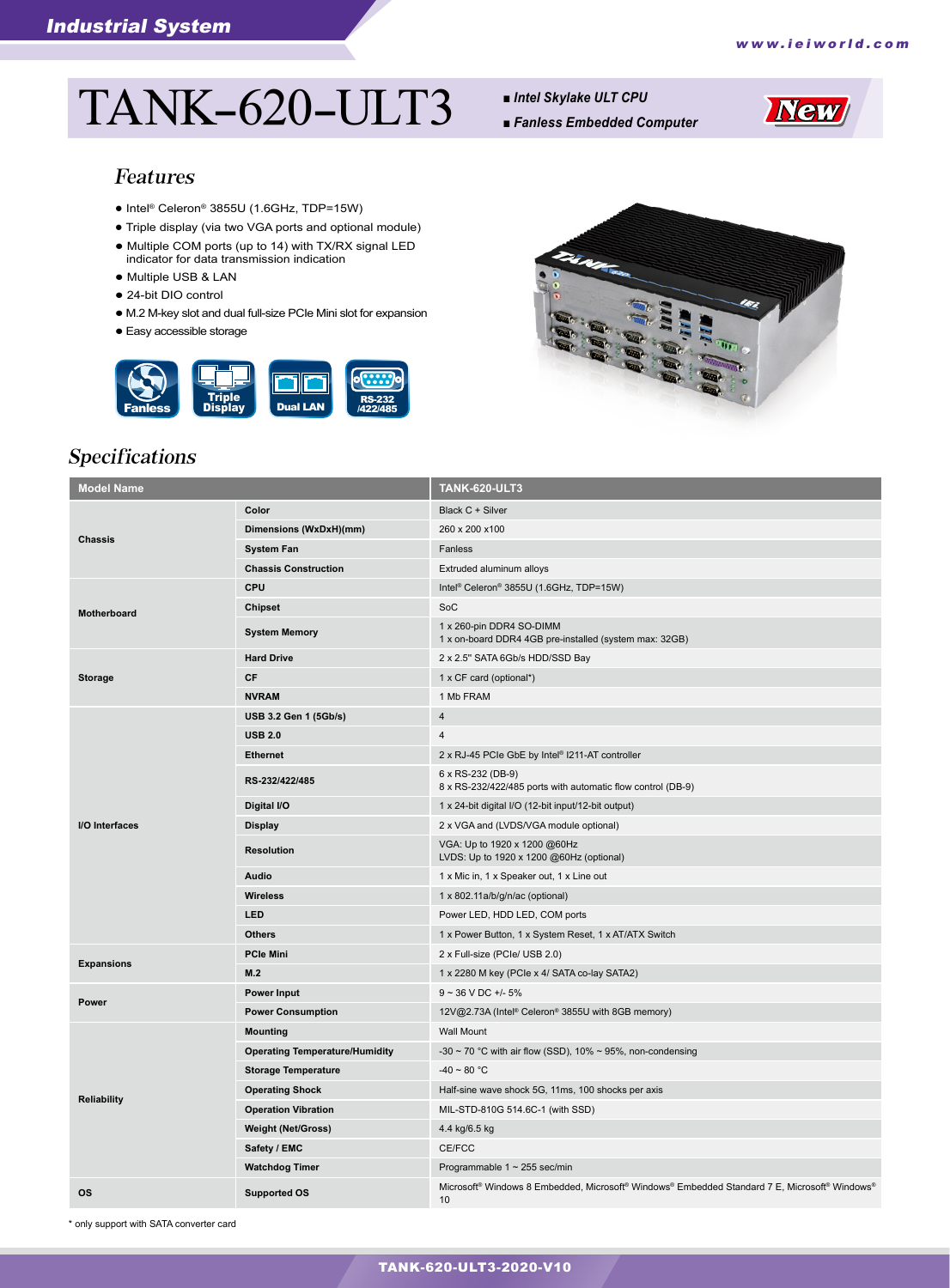# TANK-620-ULT3 *■ Intel Skylake ULT CPU*

- 
- *Fanless Embedded Computer*



#### Features

- Intel® Celeron® 3855U (1.6GHz, TDP=15W)
- Triple display (via two VGA ports and optional module)
- Multiple COM ports (up to 14) with TX/RX signal LED indicator for data transmission indication
- Multiple USB & LAN
- 24-bit DIO control
- M.2 M-key slot and dual full-size PCIe Mini slot for expansion
- Easy accessible storage





# Specifications

| <b>Model Name</b>  |                                       | <b>TANK-620-ULT3</b>                                                                                |
|--------------------|---------------------------------------|-----------------------------------------------------------------------------------------------------|
| <b>Chassis</b>     | Color                                 | Black C + Silver                                                                                    |
|                    | Dimensions (WxDxH)(mm)                | 260 x 200 x 100                                                                                     |
|                    | <b>System Fan</b>                     | Fanless                                                                                             |
|                    | <b>Chassis Construction</b>           | Extruded aluminum alloys                                                                            |
| <b>Motherboard</b> | CPU                                   | Intel <sup>®</sup> Celeron <sup>®</sup> 3855U (1.6GHz, TDP=15W)                                     |
|                    | <b>Chipset</b>                        | SoC                                                                                                 |
|                    | <b>System Memory</b>                  | 1 x 260-pin DDR4 SO-DIMM<br>1 x on-board DDR4 4GB pre-installed (system max: 32GB)                  |
| <b>Storage</b>     | <b>Hard Drive</b>                     | 2 x 2.5" SATA 6Gb/s HDD/SSD Bay                                                                     |
|                    | <b>CF</b>                             | 1 x CF card (optional*)                                                                             |
|                    | <b>NVRAM</b>                          | 1 Mb FRAM                                                                                           |
| I/O Interfaces     | USB 3.2 Gen 1 (5Gb/s)                 | $\overline{4}$                                                                                      |
|                    | <b>USB 2.0</b>                        | 4                                                                                                   |
|                    | <b>Ethernet</b>                       | 2 x RJ-45 PCIe GbE by Intel® I211-AT controller                                                     |
|                    | RS-232/422/485                        | 6 x RS-232 (DB-9)<br>8 x RS-232/422/485 ports with automatic flow control (DB-9)                    |
|                    | Digital I/O                           | 1 x 24-bit digital I/O (12-bit input/12-bit output)                                                 |
|                    | <b>Display</b>                        | 2 x VGA and (LVDS/VGA module optional)                                                              |
|                    | <b>Resolution</b>                     | VGA: Up to 1920 x 1200 @60Hz<br>LVDS: Up to 1920 x 1200 @60Hz (optional)                            |
|                    | Audio                                 | 1 x Mic in, 1 x Speaker out, 1 x Line out                                                           |
|                    | <b>Wireless</b>                       | 1 x 802.11a/b/g/n/ac (optional)                                                                     |
|                    | LED                                   | Power LED, HDD LED, COM ports                                                                       |
|                    | <b>Others</b>                         | 1 x Power Button, 1 x System Reset, 1 x AT/ATX Switch                                               |
|                    | <b>PCIe Mini</b>                      | 2 x Full-size (PCIe/ USB 2.0)                                                                       |
| <b>Expansions</b>  | M.2                                   | 1 x 2280 M key (PCIe x 4/ SATA co-lay SATA2)                                                        |
| Power              | Power Input                           | $9 - 36$ V DC +/- 5%                                                                                |
|                    | <b>Power Consumption</b>              | 12V@2.73A (Intel® Celeron® 3855U with 8GB memory)                                                   |
| <b>Reliability</b> | <b>Mounting</b>                       | <b>Wall Mount</b>                                                                                   |
|                    | <b>Operating Temperature/Humidity</b> | -30 $\sim$ 70 °C with air flow (SSD), 10% $\sim$ 95%, non-condensing                                |
|                    | <b>Storage Temperature</b>            | $-40 \sim 80 °C$                                                                                    |
|                    | <b>Operating Shock</b>                | Half-sine wave shock 5G, 11ms, 100 shocks per axis                                                  |
|                    | <b>Operation Vibration</b>            | MIL-STD-810G 514.6C-1 (with SSD)                                                                    |
|                    | <b>Weight (Net/Gross)</b>             | 4.4 kg/6.5 kg                                                                                       |
|                    | Safety / EMC                          | CE/FCC                                                                                              |
|                    | <b>Watchdog Timer</b>                 | Programmable $1 \sim 255$ sec/min                                                                   |
| <b>OS</b>          | <b>Supported OS</b>                   | Microsoft® Windows 8 Embedded, Microsoft® Windows® Embedded Standard 7 E, Microsoft® Windows®<br>10 |

\* only support with SATA converter card

#### TANK-620-ULT3-2020-V10 TANK-620-ULT3-2020-V10